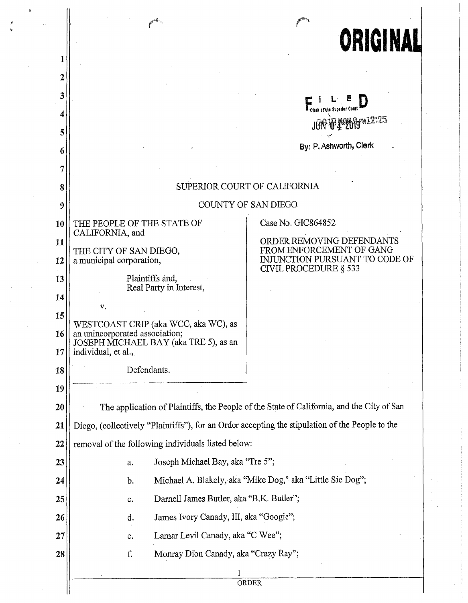|    |                                                                                                 | ORIGINAL                                                |  |  |  |
|----|-------------------------------------------------------------------------------------------------|---------------------------------------------------------|--|--|--|
|    |                                                                                                 |                                                         |  |  |  |
|    |                                                                                                 |                                                         |  |  |  |
| 3  | L L E                                                                                           |                                                         |  |  |  |
|    |                                                                                                 | JON W T 2019 W 12:25                                    |  |  |  |
| 5  |                                                                                                 |                                                         |  |  |  |
| 6  |                                                                                                 | By: P. Ashworth, Clerk                                  |  |  |  |
| 7  |                                                                                                 |                                                         |  |  |  |
| 8  | SUPERIOR COURT OF CALIFORNIA                                                                    |                                                         |  |  |  |
| 9  | COUNTY OF SAN DIEGO                                                                             |                                                         |  |  |  |
| 10 | THE PEOPLE OF THE STATE OF<br>CALIFORNIA, and                                                   | Case No. GIC864852                                      |  |  |  |
| 11 | THE CITY OF SAN DIEGO,                                                                          | ORDER REMOVING DEFENDANTS<br>FROM ENFORCEMENT OF GANG   |  |  |  |
| 12 | a municipal corporation,                                                                        | INJUNCTION PURSUANT TO CODE OF<br>CIVIL PROCEDURE § 533 |  |  |  |
| 13 | Plaintiffs and,<br>Real Party in Interest,                                                      |                                                         |  |  |  |
| 14 | V,                                                                                              |                                                         |  |  |  |
| 15 | WESTCOAST CRIP (aka WCC, aka WC), as                                                            |                                                         |  |  |  |
| 16 | an unincorporated association;<br>JOSEPH MICHAEL BAY (aka TRE 5), as an                         |                                                         |  |  |  |
| 17 | individual, et al.,                                                                             |                                                         |  |  |  |
| 18 | Defendants.                                                                                     |                                                         |  |  |  |
| 19 |                                                                                                 |                                                         |  |  |  |
| 20 | The application of Plaintiffs, the People of the State of California, and the City of San       |                                                         |  |  |  |
| 21 | Diego, (collectively "Plaintiffs"), for an Order accepting the stipulation of the People to the |                                                         |  |  |  |
| 22 | removal of the following individuals listed below:                                              |                                                         |  |  |  |
| 23 | Joseph Michael Bay, aka "Tre 5";<br>a.                                                          |                                                         |  |  |  |
| 24 | Michael A. Blakely, aka "Mike Dog," aka "Little Sic Dog";<br>b.                                 |                                                         |  |  |  |
| 25 | Darnell James Butler, aka "B.K. Butler";<br>c.                                                  |                                                         |  |  |  |
| 26 | James Ivory Canady, III, aka "Googie";<br>d.                                                    |                                                         |  |  |  |
| 27 | Lamar Levil Canady, aka "C Wee";<br>e.                                                          |                                                         |  |  |  |
| 28 | f.<br>Monray Dion Canady, aka "Crazy Ray";                                                      |                                                         |  |  |  |
|    | ORDER                                                                                           |                                                         |  |  |  |
|    |                                                                                                 |                                                         |  |  |  |

ī,

 $\frac{d}{dt}$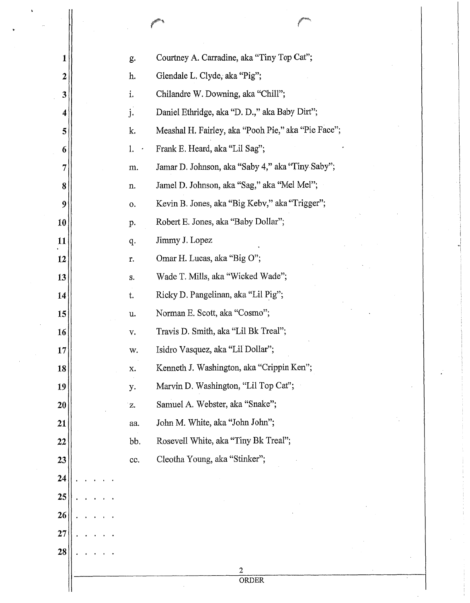| 1  | g.            | Courtney A. Carradine, aka "Tiny Top Cat";          |
|----|---------------|-----------------------------------------------------|
| 2  | h.            | Glendale L. Clyde, aka "Pig";                       |
| 3  | i.            | Chilandre W. Downing, aka "Chill";                  |
| 4  | j.            | Daniel Ethridge, aka "D. D.," aka Baby Dirt";       |
| 5  | k.            | Meashal H. Fairley, aka "Pooh Pie," aka "Pie Face"; |
| 6  | 1.            | Frank E. Heard, aka "Lil Sag";                      |
| 7  | m.            | Jamar D. Johnson, aka "Saby 4," aka "Tiny Saby";    |
| 8  | n.            | Jamel D. Johnson, aka "Sag," aka "Mel Mel";         |
| 9  | о.            | Kevin B. Jones, aka "Big Kebv," aka "Trigger";      |
| 10 | p.            | Robert E. Jones, aka "Baby Dollar";                 |
| 11 | q.            | Jimmy J. Lopez                                      |
| 12 | r.            | Omar H. Lucas, aka "Big O";                         |
| 13 | s.            | Wade T. Mills, aka "Wicked Wade";                   |
| 14 | t.            | Ricky D. Pangelinan, aka "Lil Pig";                 |
| 15 | u.            | Norman E. Scott, aka "Cosmo";                       |
| 16 | v.            | Travis D. Smith, aka "Lil Bk Treal";                |
| 17 | w.            | Isidro Vasquez, aka "Lil Dollar";                   |
| 18 | Х.            | Kenneth J. Washington, aka "Crippin Ken";           |
| 19 | y.            | Marvin D. Washington, "Lil Top Cat";                |
| 20 | $Z_{\bullet}$ | Samuel A. Webster, aka "Snake";                     |
| 21 | aa.           | John M. White, aka "John John";                     |
| 22 | bb.           | Rosevell White, aka "Tiny Bk Treal";                |
| 23 | cc.           | Cleotha Young, aka "Stinker";                       |
| 24 |               |                                                     |
| 25 |               |                                                     |
| 26 |               |                                                     |
| 27 |               |                                                     |
| 28 |               |                                                     |
|    |               | $\mathbf{2}$<br>ORDER                               |